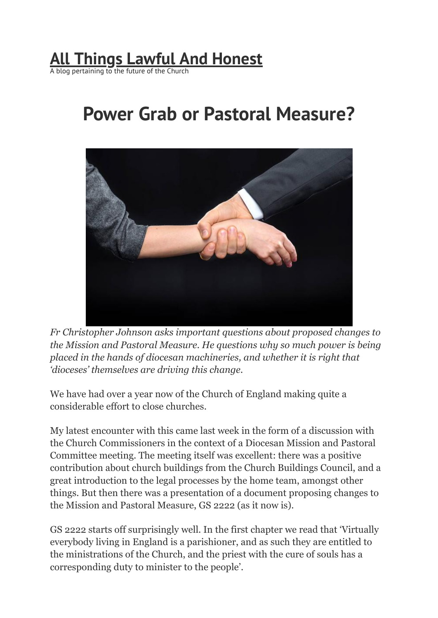## **All Things Lawful And [Honest](https://allthingslawfulandhonest.wordpress.com/)**

A blog pertaining to the future of the Church

## **Power Grab or Pastoral Measure?**



*Fr Christopher Johnson asks important questions about proposed changes to the Mission and Pastoral Measure. He questions why so much power is being placed in the hands of diocesan machineries, and whether it is right that 'dioceses' themselves are driving this change.*

We have had over a year now of the Church of England making quite a considerable effort to close churches.

My latest encounter with this came last week in the form of a discussion with the Church Commissioners in the context of a Diocesan Mission and Pastoral Committee meeting. The meeting itself was excellent: there was a positive contribution about church buildings from the Church Buildings Council, and a great introduction to the legal processes by the home team, amongst other things. But then there was a presentation of a document proposing changes to the Mission and Pastoral Measure, GS 2222 (as it now is).

GS 2222 starts off surprisingly well. In the first chapter we read that 'Virtually everybody living in England is a parishioner, and as such they are entitled to the ministrations of the Church, and the priest with the cure of souls has a corresponding duty to minister to the people'.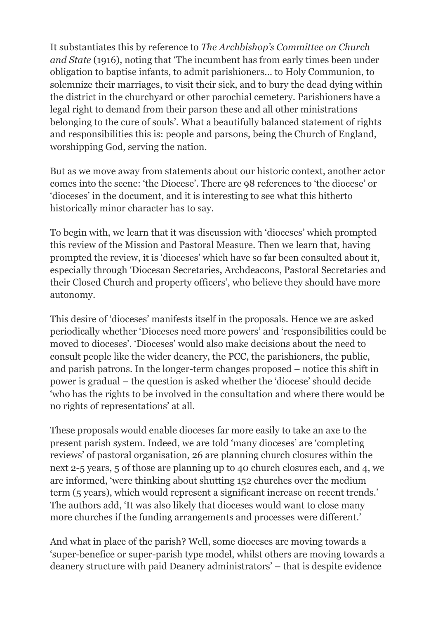It substantiates this by reference to *The Archbishop's Committee on Church and State* (1916), noting that 'The incumbent has from early times been under obligation to baptise infants, to admit parishioners… to Holy Communion, to solemnize their marriages, to visit their sick, and to bury the dead dying within the district in the churchyard or other parochial cemetery. Parishioners have a legal right to demand from their parson these and all other ministrations belonging to the cure of souls'. What a beautifully balanced statement of rights and responsibilities this is: people and parsons, being the Church of England, worshipping God, serving the nation.

But as we move away from statements about our historic context, another actor comes into the scene: 'the Diocese'. There are 98 references to 'the diocese' or 'dioceses' in the document, and it is interesting to see what this hitherto historically minor character has to say.

To begin with, we learn that it was discussion with 'dioceses' which prompted this review of the Mission and Pastoral Measure. Then we learn that, having prompted the review, it is 'dioceses' which have so far been consulted about it, especially through 'Diocesan Secretaries, Archdeacons, Pastoral Secretaries and their Closed Church and property officers', who believe they should have more autonomy.

This desire of 'dioceses' manifests itself in the proposals. Hence we are asked periodically whether 'Dioceses need more powers' and 'responsibilities could be moved to dioceses'. 'Dioceses' would also make decisions about the need to consult people like the wider deanery, the PCC, the parishioners, the public, and parish patrons. In the longer-term changes proposed – notice this shift in power is gradual – the question is asked whether the 'diocese' should decide 'who has the rights to be involved in the consultation and where there would be no rights of representations' at all.

These proposals would enable dioceses far more easily to take an axe to the present parish system. Indeed, we are told 'many dioceses' are 'completing reviews' of pastoral organisation, 26 are planning church closures within the next 2-5 years, 5 of those are planning up to 40 church closures each, and 4, we are informed, 'were thinking about shutting 152 churches over the medium term (5 years), which would represent a significant increase on recent trends.' The authors add, 'It was also likely that dioceses would want to close many more churches if the funding arrangements and processes were different.'

And what in place of the parish? Well, some dioceses are moving towards a 'super-benefice or super-parish type model, whilst others are moving towards a deanery structure with paid Deanery administrators' – that is despite evidence